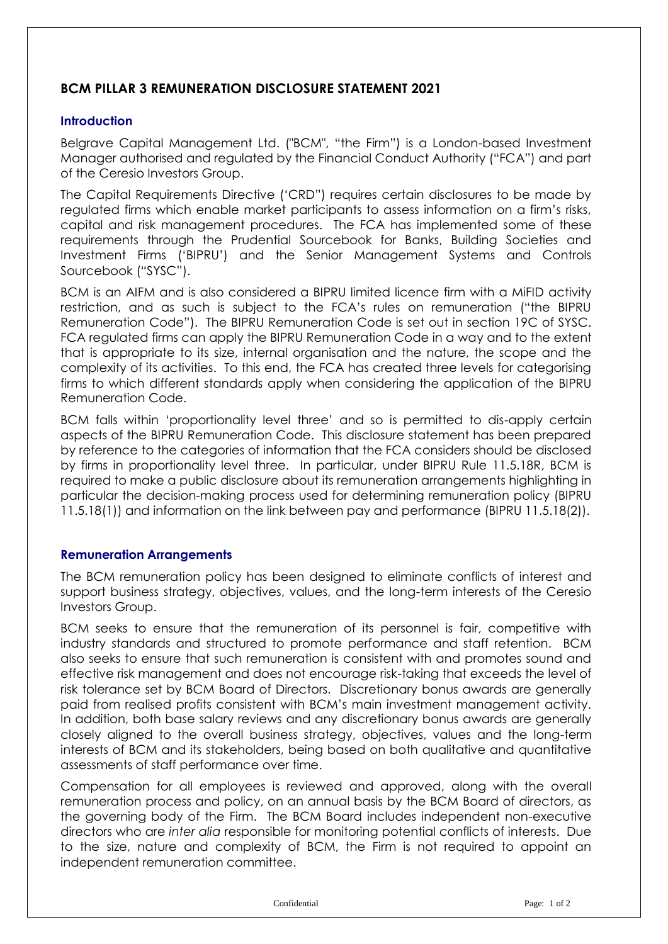# **BCM PILLAR 3 REMUNERATION DISCLOSURE STATEMENT 2021**

#### **Introduction**

Belgrave Capital Management Ltd. ("BCM", "the Firm") is a London-based Investment Manager authorised and regulated by the Financial Conduct Authority ("FCA") and part of the Ceresio Investors Group.

The Capital Requirements Directive ('CRD") requires certain disclosures to be made by regulated firms which enable market participants to assess information on a firm's risks, capital and risk management procedures. The FCA has implemented some of these requirements through the Prudential Sourcebook for Banks, Building Societies and Investment Firms ('BIPRU') and the Senior Management Systems and Controls Sourcebook ("SYSC").

BCM is an AIFM and is also considered a BIPRU limited licence firm with a MiFID activity restriction, and as such is subject to the FCA's rules on remuneration ("the BIPRU Remuneration Code"). The BIPRU Remuneration Code is set out in section 19C of SYSC. FCA regulated firms can apply the BIPRU Remuneration Code in a way and to the extent that is appropriate to its size, internal organisation and the nature, the scope and the complexity of its activities. To this end, the FCA has created three levels for categorising firms to which different standards apply when considering the application of the BIPRU Remuneration Code.

BCM falls within 'proportionality level three' and so is permitted to dis-apply certain aspects of the BIPRU Remuneration Code. This disclosure statement has been prepared by reference to the categories of information that the FCA considers should be disclosed by firms in proportionality level three. In particular, under BIPRU Rule 11.5.18R, BCM is required to make a public disclosure about its remuneration arrangements highlighting in particular the decision-making process used for determining remuneration policy (BIPRU 11.5.18(1)) and information on the link between pay and performance (BIPRU 11.5.18(2)).

## **Remuneration Arrangements**

The BCM remuneration policy has been designed to eliminate conflicts of interest and support business strategy, objectives, values, and the long-term interests of the Ceresio Investors Group.

BCM seeks to ensure that the remuneration of its personnel is fair, competitive with industry standards and structured to promote performance and staff retention. BCM also seeks to ensure that such remuneration is consistent with and promotes sound and effective risk management and does not encourage risk-taking that exceeds the level of risk tolerance set by BCM Board of Directors. Discretionary bonus awards are generally paid from realised profits consistent with BCM's main investment management activity. In addition, both base salary reviews and any discretionary bonus awards are generally closely aligned to the overall business strategy, objectives, values and the long-term interests of BCM and its stakeholders, being based on both qualitative and quantitative assessments of staff performance over time.

Compensation for all employees is reviewed and approved, along with the overall remuneration process and policy, on an annual basis by the BCM Board of directors, as the governing body of the Firm. The BCM Board includes independent non-executive directors who are *inter alia* responsible for monitoring potential conflicts of interests. Due to the size, nature and complexity of BCM, the Firm is not required to appoint an independent remuneration committee.